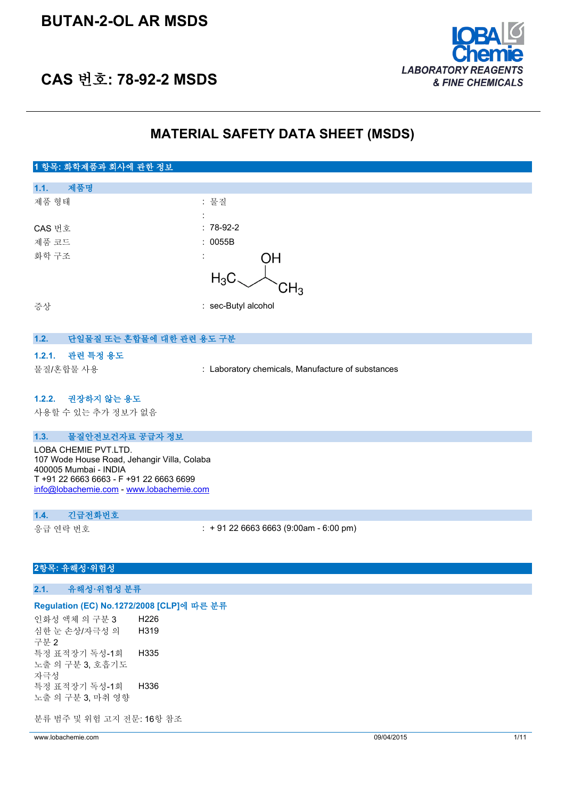## **BUTAN-2-OL AR MSDS**



## **CAS 번호: 78-92-2 MSDS**

## **MATERIAL SAFETY DATA SHEET (MSDS)**

## **1 항목: 화학제품과 회사에 관한 정보 1.1. 제품명** 제품 형태 : 기대 : 기대 : 물질 : CAS 번호 : 78-92-2 제품 코드 : 0055B 화학 구조 OΗ  $H_3C$ ϽН3 증상 : sec-Butyl alcohol

## **1.2. 단일물질 또는 혼합물에 대한 관련 용도 구분**

## **1.2.1. 관련 특정 용도**

물질/혼합물 사용 : Laboratory chemicals, Manufacture of substances

#### **1.2.2. 권장하지 않는 용도**

사용할 수 있는 추가 정보가 없음

#### **1.3. 물질안전보건자료 공급자 정보**

LOBA CHEMIE PVT.LTD. 107 Wode House Road, Jehangir Villa, Colaba 400005 Mumbai - INDIA T +91 22 6663 6663 - F +91 22 6663 6699 [info@lobachemie.com](mailto:info@lobachemie.com) - <www.lobachemie.com>

### **1.4. 긴급전화번호**

응급 연락 번호 : + 91 22 6663 6663 (9:00am - 6:00 pm)

## **2항목: 유해성·위험성**

### **2.1. 유해성·위험성 분류**

#### **Regulation (EC) No.1272/2008 [CLP]에 따른 분류**

인화성 액체 의 구분 3 H226 심한 눈 손상/자극성 의 구분 2 H319 특정 표적장기 독성-1회 노출 의 구분 3, 호흡기도 자극성 H335 특정 표적장기 독성-1회 노출 의 구분 3, 마취 영향 H336

분류 범주 및 위험 고지 전문: 16항 참조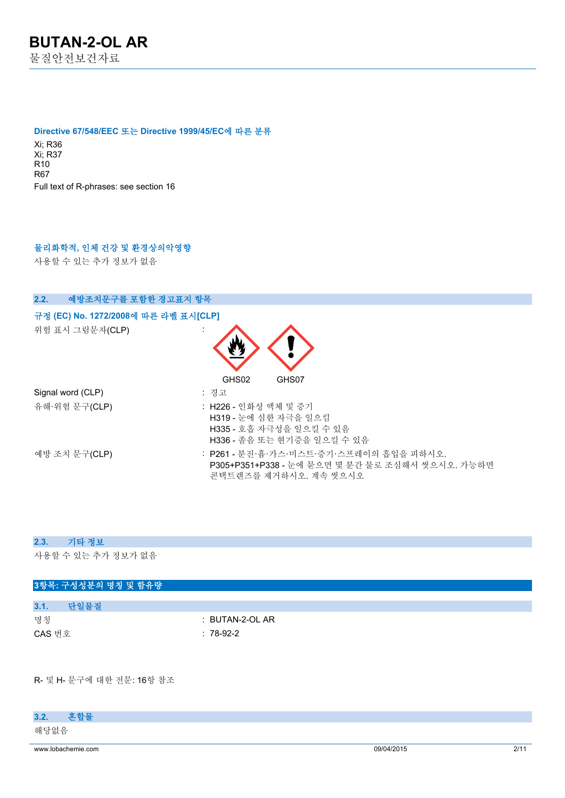#### **Directive 67/548/EEC 또는 Directive 1999/45/EC에 따른 분류**

Xi; R36 Xi; R37 R10 R67 Full text of R-phrases: see section 16

## **물리화학적, 인체 건강 및 환경상의악영향**

사용할 수 있는 추가 정보가 없음

| 예방조치문구를 포함한 경고표지 항목<br>2.2.          |                                                                                                                     |
|--------------------------------------|---------------------------------------------------------------------------------------------------------------------|
| 규정 (EC) No. 1272/2008에 따른 라벨 표시[CLP] |                                                                                                                     |
| 위험 표시 그림문자(CLP)                      | GHS02<br>GHS07                                                                                                      |
| Signal word (CLP)                    | : 경고                                                                                                                |
| 유해·위험 문구(CLP)                        | : H226 - 인화성 액체 및 증기<br>H319 - 눈에 심한 자극을 일으킴<br>H335 - 호흡 자극성을 일으킬 수 있음<br>H336 - 졸음 또는 현기증을 일으킬 수 있음               |
| 예방 조치 문구(CLP)                        | : P261 - 분진·흄·가스·미스트·증기·스프레이의 흡입을 피하시오.<br>P305+P351+P338 - 눈에 묻으면 몇 분간 물로 조심해서 씻으시오. 가능하면<br>콘택트렌즈를 제거하시오. 계속 씻으시오 |

#### **2.3. 기타 정보**

사용할 수 있는 추가 정보가 없음

| 3항목: 구성성분의 명칭 및 함유량 |                            |  |
|---------------------|----------------------------|--|
|                     |                            |  |
| 3.1.<br>단일물질        |                            |  |
| 명칭                  | $\therefore$ BUTAN-2-OL AR |  |
| CAS 번호              | $: 78-92-2$                |  |

R- 및 H- 문구에 대한 전문: 16항 참조

| www.lobachemie.com | 09/04/2015 | 2/1 |
|--------------------|------------|-----|
| 해당없음               |            |     |
| 하 하 모<br>3.2.      |            |     |
|                    |            |     |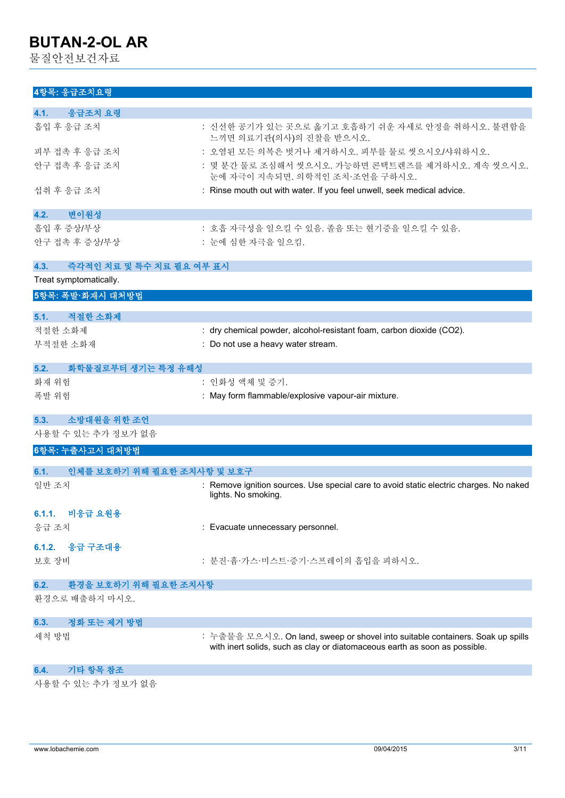물질안전보건자료

## **4항목: 응급조치요령**

| 4.1.<br>응급조치 요령                    |                                                                                                                                                              |
|------------------------------------|--------------------------------------------------------------------------------------------------------------------------------------------------------------|
| 흡입 후 응급 조치                         | : 신선한 공기가 있는 곳으로 옮기고 호흡하기 쉬운 자세로 안정을 취하시오. 불편함을<br>느끼면 의료기관(의사)의 진찰을 받으시오.                                                                                   |
| 피부 접촉 후 응급 조치                      | : 오염된 모든 의복은 벗거나 제거하시오. 피부를 물로 씻으시오/샤워하시오.                                                                                                                   |
| 안구 접촉 후 응급 조치                      | : 몇 분간 물로 조심해서 씻으시오. 가능하면 콘택트렌즈를 제거하시오. 계속 씻으시오.<br>눈에 자극이 지속되면. 의학적인 조치·조언을 구하시오.                                                                           |
| 섭취 후 응급 조치                         | : Rinse mouth out with water. If you feel unwell, seek medical advice.                                                                                       |
| 변이원성<br>4.2.                       |                                                                                                                                                              |
| 흡입 후 증상/부상                         | : 호흡 자극성을 일으킬 수 있음. 졸음 또는 현기증을 일으킬 수 있음.                                                                                                                     |
| 안구 접촉 후 증상/부상                      | : 눈에 심한 자극을 일으킴.                                                                                                                                             |
| 즉각적인 치료 및 특수 치료 필요 여부 표시<br>4.3.   |                                                                                                                                                              |
| Treat symptomatically.             |                                                                                                                                                              |
| 5항목: 폭발·화재시 대처방법                   |                                                                                                                                                              |
| 적절한 소화제<br>5.1.                    |                                                                                                                                                              |
| 적절한 소화제                            | : dry chemical powder, alcohol-resistant foam, carbon dioxide (CO2).                                                                                         |
| 부적절한 소화재                           | : Do not use a heavy water stream.                                                                                                                           |
|                                    |                                                                                                                                                              |
| 5.2.<br>화학물질로부터 생기는 특정 유해성         |                                                                                                                                                              |
| 화재 위험                              | : 인화성 액체 및 증기.                                                                                                                                               |
| 폭발 위험                              | : May form flammable/explosive vapour-air mixture.                                                                                                           |
| 소방대원을 위한 조언<br>5.3.                |                                                                                                                                                              |
| 사용할 수 있는 추가 정보가 없음                 |                                                                                                                                                              |
| 6항목: 누출사고시 대처방법                    |                                                                                                                                                              |
| 인체를 보호하기 위해 필요한 조치사항 및 보호구<br>6.1. |                                                                                                                                                              |
| 일반 조치                              | : Remove ignition sources. Use special care to avoid static electric charges. No naked<br>lights. No smoking.                                                |
| 비응급 요원용<br>6.1.1.                  |                                                                                                                                                              |
| 응급 조치                              | : Evacuate unnecessary personnel.                                                                                                                            |
| 응급 구조대용<br>6.1.2.                  |                                                                                                                                                              |
| 보호 장비                              | : 분진·흄·가스·미스트·증기·스프레이의 흡입을 피하시오.                                                                                                                             |
| 환경을 보호하기 위해 필요한 조치사항<br>6.2.       |                                                                                                                                                              |
| 환경으로 배출하지 마시오.                     |                                                                                                                                                              |
| 정화 또는 제거 방법<br>6.3.                |                                                                                                                                                              |
| 세척 방법                              | : 누출물을 모으시오. On land, sweep or shovel into suitable containers. Soak up spills<br>with inert solids, such as clay or diatomaceous earth as soon as possible. |
| 기타 항목 참조<br>6.4.                   |                                                                                                                                                              |

사용할 수 있는 추가 정보가 없음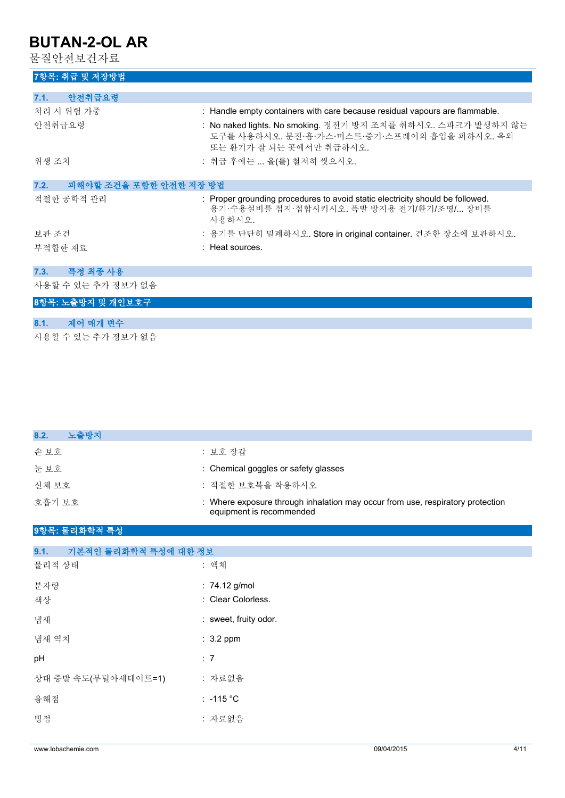물질안전보건자료

## **7항목: 취급 및 저장방법**

| 7.1.<br>안전취급요령                 |                                                                                                                                         |
|--------------------------------|-----------------------------------------------------------------------------------------------------------------------------------------|
| 처리 시 위험 가중                     | : Handle empty containers with care because residual vapours are flammable.                                                             |
| 안전취급요령                         | : No naked lights. No smoking. 정전기 방지 조치를 취하시오. 스파크가 발생하지 않는<br>도구를 사용하시오. 분진·흄·가스·미스트·증기·스프레이의 흡입을 피하시오. 옥외<br>또는 환기가 잘 되는 곳에서만 취급하시오. |
| 위생 조치                          | : 취급 후에는  을(를) 철저히 씻으시오.                                                                                                                |
|                                |                                                                                                                                         |
| 피해야할 조건을 포함한 안전한 저장 방법<br>7.2. |                                                                                                                                         |
| 적절한 공학적 관리                     | : Proper grounding procedures to avoid static electricity should be followed.<br>용기·수용설비를 접지·접합시키시오. 폭발 방지용 전기/환기/조명/ 장비를<br>사용하시오.     |
| 보관 조건                          | : 용기를 단단히 밀폐하시오. Store in original container. 건조한 장소에 보관하시오.                                                                            |
| 부적합한 재료                        | : Heat sources.                                                                                                                         |
|                                |                                                                                                                                         |
| 특정 최종 사용<br>7.3.               |                                                                                                                                         |
| 사용할 수 있는 추가 정보가 없음             |                                                                                                                                         |

## **8항목: 노출방지 및 개인보호구**

| 8.1. 제어 매개 변수      |  |
|--------------------|--|
| 사용할 수 있는 추가 정보가 없음 |  |

| 노출방지<br>8.2.                 |                                                                                                            |
|------------------------------|------------------------------------------------------------------------------------------------------------|
| 손보호                          | : 보호 장갑                                                                                                    |
| 눈보호                          | : Chemical goggles or safety glasses                                                                       |
| 신체 보호                        | : 적절한 보호복을 착용하시오                                                                                           |
| 호흡기 보호                       | : Where exposure through inhalation may occur from use, respiratory protection<br>equipment is recommended |
| 9항목: 물리화학적 특성                |                                                                                                            |
| 기본적인 물리화학적 특성에 대한 정보<br>9.1. |                                                                                                            |
| 물리적 상태                       | : 액체                                                                                                       |
| 분자량                          | : 74.12 g/mol                                                                                              |
| 색상                           | : Clear Colorless.                                                                                         |
| 냄새                           | : sweet, fruity odor.                                                                                      |
| 냄새 역치                        | $: 3.2$ ppm                                                                                                |
| pH                           | : 7                                                                                                        |
| 상대 증발 속도(부틸아세테이트=1)          | : 자료없음                                                                                                     |
| 융해점                          | $: -115 °C$                                                                                                |
| 빙점                           | : 자료없음                                                                                                     |
|                              |                                                                                                            |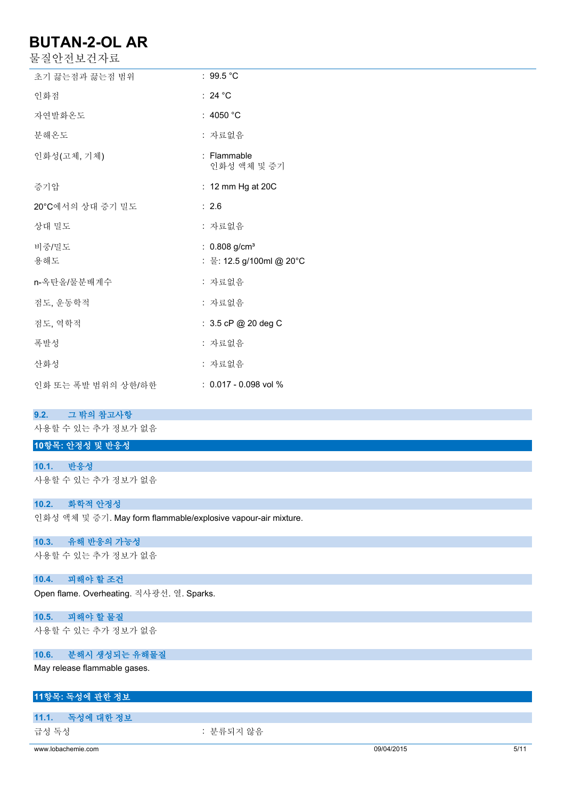물질안전보건자료

| 초기 끓는점과 끓는점 범위     | : $99.5^{\circ}$ C                                      |
|--------------------|---------------------------------------------------------|
| 인화점                | : 24 $^{\circ}$ C                                       |
| 자연발화온도             | : 4050 $°C$                                             |
| 분해온도               | : 자료없음                                                  |
| 인화성(고체, 기체)        | : Flammable<br>인화성 액체 및 증기                              |
| 증기압                | : 12 mm Hg at 20C                                       |
| 20°C에서의 상대 증기 밀도   | : 2.6                                                   |
| 상대 밀도              | : 자료없음                                                  |
| 비중/밀도<br>용해도       | : $0.808$ g/cm <sup>3</sup><br>: 물: 12.5 g/100ml @ 20°C |
| n-옥탄올/물분배계수        | : 자료없음                                                  |
| 점도, 운동학적           | : 자료없음                                                  |
| 점도, 역학적            | : 3.5 cP @ 20 deg C                                     |
| 폭발성                | : 자료없음                                                  |
| 산화성                | : 자료없음                                                  |
| 인화 또는 폭발 범위의 상한/하한 | $: 0.017 - 0.098$ vol %                                 |

#### **9.2. 그 밖의 참고사항**

사용할 수 있는 추가 정보가 없음

## **10항목: 안정성 및 반응성**

**10.1. 반응성** 사용할 수 있는 추가 정보가 없음

### **10.2. 화학적 안정성**

인화성 액체 및 증기. May form flammable/explosive vapour-air mixture.

### **10.3. 유해 반응의 가능성**

사용할 수 있는 추가 정보가 없음

## **10.4. 피해야 할 조건**

Open flame. Overheating. 직사광선. 열. Sparks.

## **10.5. 피해야 할 물질**

사용할 수 있는 추가 정보가 없음

## **10.6. 분해시 생성되는 유해물질**

May release flammable gases.

## **11항목: 독성에 관한 정보**

## **11.1. 독성에 대한 정보**

급성 독성 : 분류되지 않음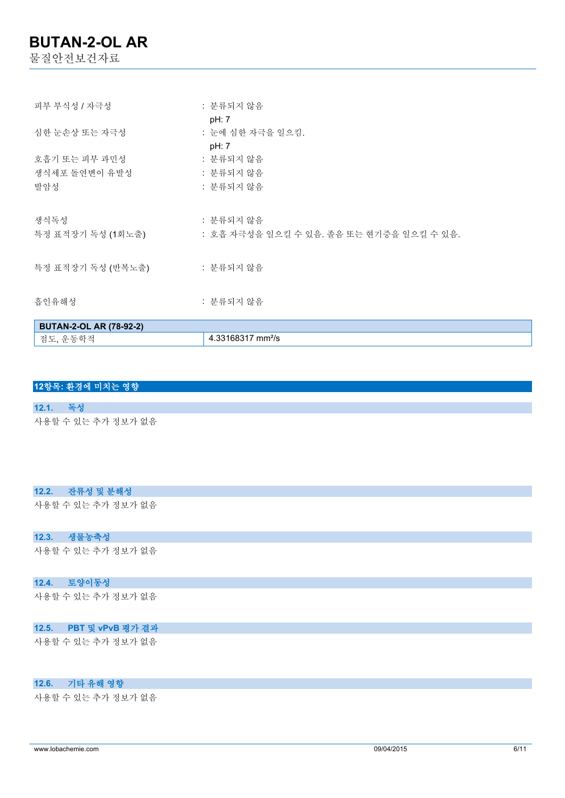물질안전보건자료

| 점도, 운동학적                       | 4.33168317 mm <sup>2</sup> /s                         |
|--------------------------------|-------------------------------------------------------|
| <b>BUTAN-2-OL AR (78-92-2)</b> |                                                       |
| 흡인유해성                          | : 분류되지 않음                                             |
| 특정 표적장기 독성 (반복노출)              | : 분류되지 않음                                             |
| 생식독성<br>특정 표적장기 독성 (1회노출)      | : 분류되지 않음<br>: 호흡 자극성을 일으킬 수 있음. 졸음 또는 현기증을 일으킬 수 있음. |
| 발암성                            | : 분류되지 않음                                             |
| 생식세포 돌연변이 유발성                  | : 분류되지 않음                                             |
| 호흡기 또는 피부 과민성                  | pH: 7<br>: 분류되지 않음                                    |
| 심한 눈손상 또는 자극성                  | pH: 7<br>: 눈에 심한 자극을 일으킴.                             |
| 피부 부식성 / 자극성                   | : 분류되지 않음                                             |

### **12항목: 환경에 미치는 영향**

#### **12.1. 독성**

사용할 수 있는 추가 정보가 없음

#### **12.2. 잔류성 및 분해성**

사용할 수 있는 추가 정보가 없음

## **12.3. 생물농축성**

사용할 수 있는 추가 정보가 없음

### **12.4. 토양이동성**

사용할 수 있는 추가 정보가 없음

### **12.5. PBT 및 vPvB 평가 결과**

사용할 수 있는 추가 정보가 없음

### **12.6. 기타 유해 영향**

사용할 수 있는 추가 정보가 없음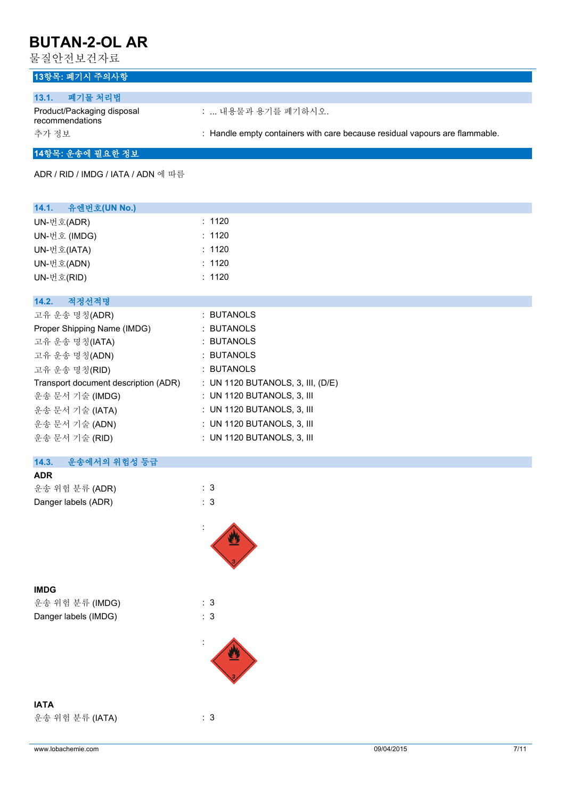물질안전보건자료

## **13항목: 폐기시 주의사항**

| 폐기물 처리법<br>13.1.                              |                                                                             |
|-----------------------------------------------|-----------------------------------------------------------------------------|
| Product/Packaging disposal<br>recommendations | :  내용물과 용기를 폐기하시오.                                                          |
| 추가 정보                                         | : Handle empty containers with care because residual vapours are flammable. |

## **14항목: 운송에 필요한 정보**

ADR / RID / IMDG / IATA / ADN 에 따름

| 14.1. 유엔번호(UN No.)                   |                                     |
|--------------------------------------|-------------------------------------|
| UN-번호(ADR)                           | : 1120                              |
| UN-번호 (IMDG)                         | : 1120                              |
| UN-번호(IATA)                          | : 1120                              |
| UN-번호(ADN)                           | : 1120                              |
| UN-번호(RID)                           | : 1120                              |
|                                      |                                     |
| 적정선적명<br>14.2.                       |                                     |
| 고유 운송 명칭(ADR)                        | : BUTANOLS                          |
| Proper Shipping Name (IMDG)          | : BUTANOLS                          |
| 고유 운송 명칭(IATA)                       | : BUTANOLS                          |
| 고유 운송 명칭(ADN)                        | : BUTANOLS                          |
| 고유 운송 명칭(RID)                        | : BUTANOLS                          |
| Transport document description (ADR) | : UN 1120 BUTANOLS, 3, III, $(D/E)$ |
| 운송 문서 기술 (IMDG)                      | $:$ UN 1120 BUTANOLS, 3, III        |
| 운송 문서 기술 (IATA)                      | $:$ UN 1120 BUTANOLS, 3, III        |
| 운송 문서 기술 (ADN)                       | : UN 1120 BUTANOLS, 3, III          |
| 운송 문서 기술 (RID)                       | : UN 1120 BUTANOLS, 3, III          |

#### **14.3. 운송에서의 위험성 등급 ADR**

| .                   |     |
|---------------------|-----|
| 운송 위험 분류 (ADR)      | : 3 |
| Danger labels (ADR) | : 3 |

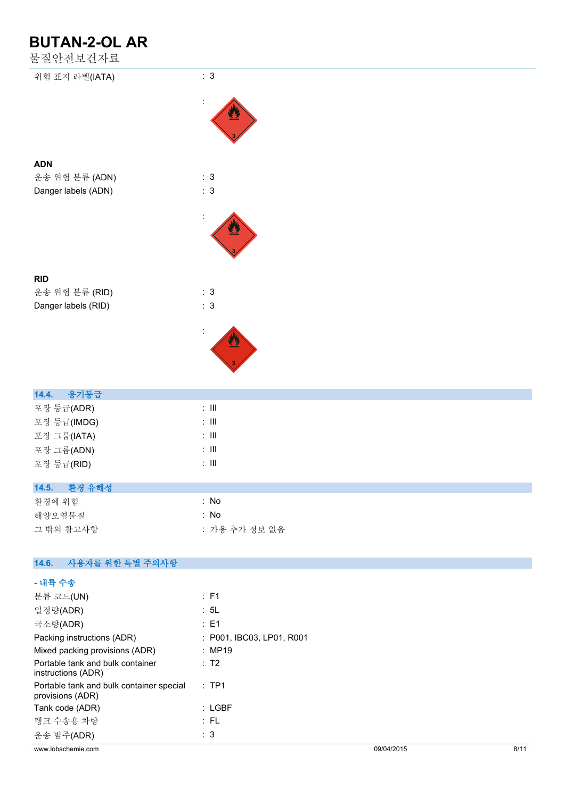물질안전보건자료

| 눌실안선 <mark>모</mark> 건사됴 |                              |  |
|-------------------------|------------------------------|--|
| 위험 표지 라벨(IATA)          | $\colon\,3$                  |  |
|                         |                              |  |
|                         |                              |  |
| <b>ADN</b>              |                              |  |
| 운송 위험 분류 (ADN)          | : 3                          |  |
| Danger labels (ADN)     | : 3                          |  |
|                         |                              |  |
|                         |                              |  |
| <b>RID</b>              |                              |  |
| 운송 위험 분류 (RID)          | : 3                          |  |
| Danger labels (RID)     | $\colon\,3$                  |  |
|                         |                              |  |
|                         |                              |  |
|                         |                              |  |
| 용기등급<br>14.4.           |                              |  |
| 포장 등급(ADR)              | $\colon$ III                 |  |
| 포장 등급(IMDG)             | $\colon$ III                 |  |
| 포장 그룹(IATA)             | $\div$ III                   |  |
| 포장 그룹(ADN)              | $\colon$ III<br>$\colon$ III |  |
| 포장 등급(RID)              |                              |  |
| 14.5. 환경 유해성            |                              |  |
| 환경에 위험                  | : No                         |  |
| 해양오염물질                  | : No                         |  |
| 그 밖의 참고사항               | : 가용 추가 정보 없음                |  |
| 14.6. 사용자를 위한 특별 주의사항   |                              |  |
| - 내륙 수송                 |                              |  |
|                         |                              |  |

| www.lobachemie.com                                           |                           | 09/04/2015 | 8/11 |
|--------------------------------------------------------------|---------------------------|------------|------|
| 운송 범주(ADR)                                                   | $\therefore$ 3            |            |      |
| 탱크 수송용 차량                                                    | : FL                      |            |      |
| Tank code (ADR)                                              | $:$ LGBF                  |            |      |
| Portable tank and bulk container special<br>provisions (ADR) | $:$ TP1                   |            |      |
| Portable tank and bulk container<br>instructions (ADR)       | : T2                      |            |      |
| Mixed packing provisions (ADR)                               | : MP19                    |            |      |
| Packing instructions (ADR)                                   | : P001, IBC03, LP01, R001 |            |      |
| 극소량(ADR)                                                     | $\therefore$ E1           |            |      |
| 일정량(ADR)                                                     | : 5L                      |            |      |
| 분류 코드(UN)                                                    | : F1                      |            |      |
| - 717 10                                                     |                           |            |      |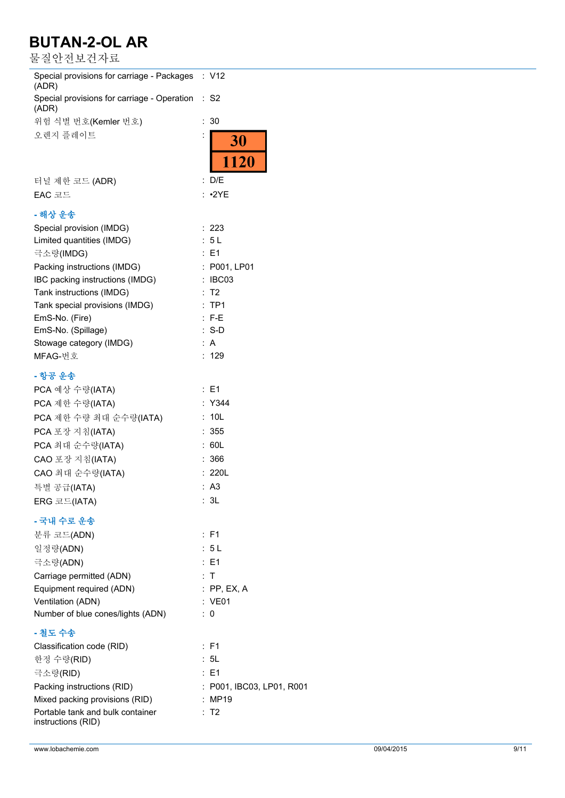물질안전보건자료

| Special provisions for carriage - Packages<br>(ADR)  | : V12                     |
|------------------------------------------------------|---------------------------|
| Special provisions for carriage - Operation<br>(ADR) | : S2                      |
| 위험 식별 번호(Kemler 번호)                                  | 30<br>÷                   |
| 오렌지 플레이트                                             |                           |
|                                                      | <b>30</b>                 |
|                                                      | 1120                      |
| 터널 제한 코드 (ADR)                                       | : D/E                     |
| EAC 코드                                               | : •2YE                    |
| - 해상 운송                                              |                           |
| Special provision (IMDG)                             | : 223                     |
| Limited quantities (IMDG)                            | : 5L                      |
| 극소량(IMDG)                                            | $E = 1$                   |
| Packing instructions (IMDG)                          | : P001, LP01              |
| IBC packing instructions (IMDG)                      | : IBC03                   |
|                                                      | T2                        |
| Tank instructions (IMDG)                             | TP <sub>1</sub>           |
| Tank special provisions (IMDG)                       |                           |
| EmS-No. (Fire)                                       | $: F-E$                   |
| EmS-No. (Spillage)                                   | $:$ S-D                   |
| Stowage category (IMDG)                              | : A                       |
| MFAG-번호                                              | : 129                     |
| - 항공 운송                                              |                           |
| PCA 예상 수량(IATA)                                      | : E1                      |
| PCA 제한 수량(IATA)                                      | : Y344                    |
| PCA 제한 수량 최대 순수량(IATA)                               | 10 <sub>L</sub>           |
| PCA 포장 지침(IATA)                                      | : 355                     |
|                                                      | : 60L                     |
| PCA 최대 순수량(IATA)                                     |                           |
| CAO 포장 지침(IATA)                                      | 366                       |
| CAO 최대 순수량(IATA)                                     | : 220L                    |
| 특별 공급(IATA)                                          | : A3                      |
| ERG 코드(IATA)                                         | : 3L                      |
| - 국내 수로 운송                                           |                           |
| 분류 코드(ADN)                                           | : F1                      |
| 일정량(ADN)                                             | : 5 L                     |
| 극소량(ADN)                                             | $E = 1$                   |
| Carriage permitted (ADN)                             | : T                       |
|                                                      |                           |
| Equipment required (ADN)                             | $:$ PP, EX, A<br>: VE01   |
| Ventilation (ADN)                                    |                           |
| Number of blue cones/lights (ADN)                    | : 0                       |
| - 철도 수송                                              |                           |
| Classification code (RID)                            | : F1                      |
| 한정 수량(RID)                                           | : 5L                      |
| 극소량(RID)                                             | $E = 1$                   |
| Packing instructions (RID)                           | : P001, IBC03, LP01, R001 |
| Mixed packing provisions (RID)                       | : MP19                    |
| Portable tank and bulk container                     | : T2                      |
| instructions (RID)                                   |                           |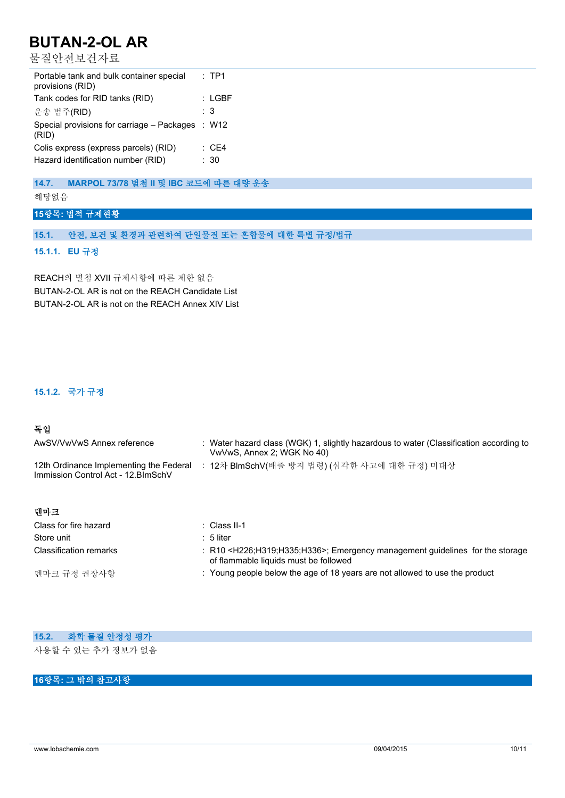물질안전보건자료

| Portable tank and bulk container special<br>provisions (RID) | : TP1            |
|--------------------------------------------------------------|------------------|
| Tank codes for RID tanks (RID)                               | : LGBF           |
| 운송 범주(RID)                                                   | : 3              |
| Special provisions for carriage – Packages<br>(RID)          | : W12            |
| Colis express (express parcels) (RID)                        | $\therefore$ CE4 |
| Hazard identification number (RID)                           | : 30             |

## **14.7. MARPOL 73/78 별첨 II 및 IBC 코드에 따른 대량 운송**

해당없음

### **15항목: 법적 규제현황**

## **15.1. 안전, 보건 및 환경과 관련하여 단일물질 또는 혼합물에 대한 특별 규정/법규**

**15.1.1. EU 규정**

REACH의 별첨 XVII 규제사항에 따른 제한 없음 BUTAN-2-OL AR is not on the REACH Candidate List BUTAN-2-OL AR is not on the REACH Annex XIV List

## **15.1.2. 국가 규정**

### **독일**

| AwSV/VwVwS Annex reference                                                     | : Water hazard class (WGK) 1, slightly hazardous to water (Classification according to<br>VwVwS, Annex 2; WGK No 40) |
|--------------------------------------------------------------------------------|----------------------------------------------------------------------------------------------------------------------|
| 12th Ordinance Implementing the Federal<br>Immission Control Act - 12. BlmSchV | : 12차 BlmSchV(배출 방지 법령) (심각한 사고에 대한 규정) 미대상                                                                          |
| 데마크                                                                            |                                                                                                                      |
| Class for fire hazard                                                          | $\therefore$ Class II-1                                                                                              |
| Store unit                                                                     | : 5 liter                                                                                                            |

| oluit unii             | . טווכו                                                                                                                                          |
|------------------------|--------------------------------------------------------------------------------------------------------------------------------------------------|
| Classification remarks | $\pm$ R10 <h226;h319;h335;h336>; Emergency management guidelines for the storage<br/>of flammable liquids must be followed</h226;h319;h335;h336> |
| 덴마크 규정 권장사항            | : Young people below the age of 18 years are not allowed to use the product                                                                      |

| 15.2. 화학 물질 안정성 평가 |  |  |
|--------------------|--|--|
| 사용할 수 있는 추가 정보가 없음 |  |  |

## **16항목: 그 밖의 참고사항**